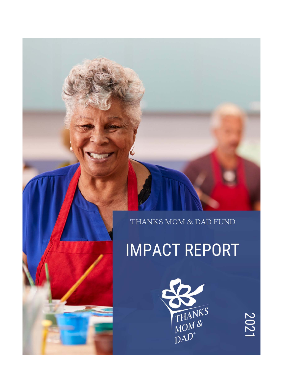THANKS MOM & DAD FUND

**IMPACT REPORT** 



2021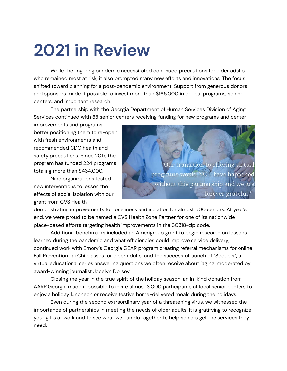## **2021 in Review**

While the lingering pandemic necessitated continued precautions for older adults who remained most at risk, it also prompted many new efforts and innovations. The focus shifted toward planning for a post-pandemic environment. Support from generous donors and sponsors made it possible to invest more than \$166,000 in critical programs, senior centers, and important research.

The partnership with the Georgia Department of Human Services Division of Aging Services continued with 38 senior centers receiving funding for new programs and center

improvements and programs better positioning them to re-open with fresh environments and recommended CDC health and safety precautions. Since 2017, the program has funded 224 programs totaling more than \$434,000.

Nine organizations tested new interventions to lessen the effects of social isolation with our grant from CVS Health



demonstrating improvements for loneliness and isolation for almost 500 seniors. At year's end, we were proud to be named a CVS Health Zone Partner for one of its nationwide place-based efforts targeting health improvements in the 30318-zip code.

Additional benchmarks included an Amerigroup grant to begin research on lessons learned during the pandemic and what efficiencies could improve service delivery; continued work with Emory's Georgia GEAR program creating referral mechanisms for online Fall Prevention Tai Chi classes for older adults; and the successful launch of "Sequels", a virtual educational series answering questions we often receive about 'aging' moderated by award-winning journalist Jocelyn Dorsey.

Closing the year in the true spirit of the holiday season, an in-kind donation from AARP Georgia made it possible to invite almost 3,000 participants at local senior centers to enjoy a holiday luncheon or receive festive home-delivered meals during the holidays.

Even during the second extraordinary year of a threatening virus, we witnessed the importance of partnerships in meeting the needs of older adults. It is gratifying to recognize your gifts at work and to see what we can do together to help seniors get the services they need.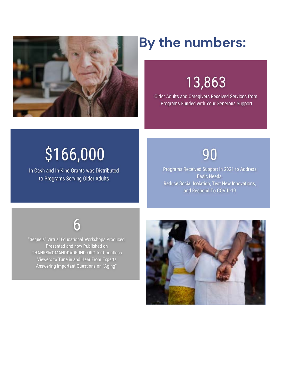

### By the numbers:

### 13,863

Older Adults and Caregivers Received Services from Programs Funded with Your Generous Support

# \$166,000

In Cash and In-Kind Grants was Distributed to Programs Serving Older Adults

#### 90

Programs Received Support in 2021 to Address **Basic Needs** Reduce Social Isolation, Test New Innovations, and Respond To COVID-19



"Sequels" Virtual Educational Workshops Produced, Presented and now Published on THANKSMOMANDDADFUND.ORG for Countless Viewers to Tune in and Hear From Experts Answering Important Questions on "Aging"